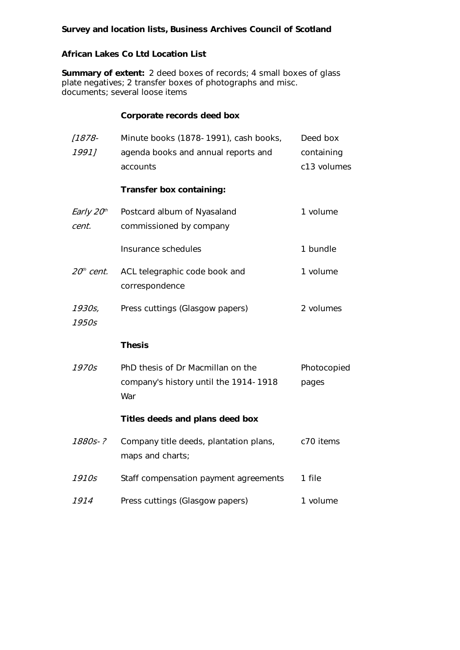#### **African Lakes Co Ltd Location List**

**Summary of extent:** 2 deed boxes of records; 4 small boxes of glass plate negatives; 2 transfer boxes of photographs and misc. documents; several loose items

#### **Corporate records deed box**

| $[1878-$<br>1991]               | Minute books (1878-1991), cash books,<br>agenda books and annual reports and<br>accounts | Deed box<br>containing<br>c13 volumes |
|---------------------------------|------------------------------------------------------------------------------------------|---------------------------------------|
|                                 | Transfer box containing:                                                                 |                                       |
| Early 20 <sup>th</sup><br>cent. | Postcard album of Nyasaland<br>commissioned by company                                   | 1 volume                              |
|                                 | Insurance schedules                                                                      | 1 bundle                              |
| $20th$ cent.                    | ACL telegraphic code book and<br>correspondence                                          | 1 volume                              |
| 1930s,<br>1950s                 | Press cuttings (Glasgow papers)                                                          | 2 volumes                             |
|                                 | <b>Thesis</b>                                                                            |                                       |
| 1970s                           | PhD thesis of Dr Macmillan on the<br>company's history until the 1914-1918<br>War        | Photocopied<br>pages                  |
|                                 | Titles deeds and plans deed box                                                          |                                       |
| 1880s-?                         | Company title deeds, plantation plans,<br>maps and charts;                               | c70 items                             |
| 1910s                           | Staff compensation payment agreements                                                    | 1 file                                |
| 1914                            | Press cuttings (Glasgow papers)                                                          | 1 volume                              |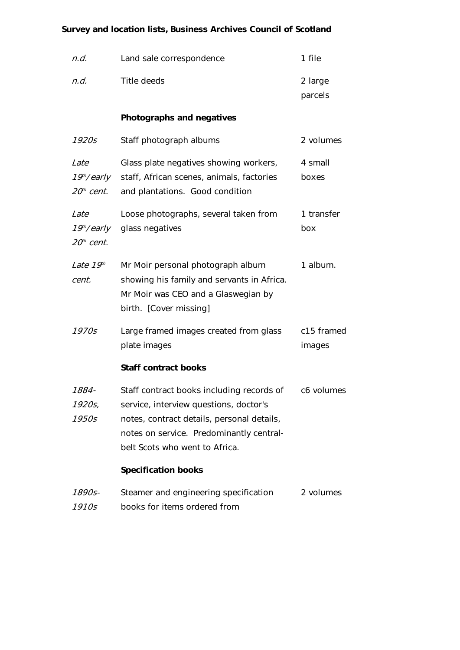| n.d.                                            | Land sale correspondence                                                                                                                                                                                        | 1 file               |
|-------------------------------------------------|-----------------------------------------------------------------------------------------------------------------------------------------------------------------------------------------------------------------|----------------------|
| n.d.                                            | Title deeds                                                                                                                                                                                                     | 2 large<br>parcels   |
|                                                 | Photographs and negatives                                                                                                                                                                                       |                      |
| 1920s                                           | Staff photograph albums                                                                                                                                                                                         | 2 volumes            |
| Late<br><i>19th/early</i><br>$20th$ cent.       | Glass plate negatives showing workers,<br>staff, African scenes, animals, factories<br>and plantations. Good condition                                                                                          | 4 small<br>boxes     |
| Late<br>19 <sup>th</sup> /early<br>$20th$ cent. | Loose photographs, several taken from<br>glass negatives                                                                                                                                                        | 1 transfer<br>box    |
| Late $19th$<br>cent.                            | Mr Moir personal photograph album<br>showing his family and servants in Africa.<br>Mr Moir was CEO and a Glaswegian by<br>birth. [Cover missing]                                                                | 1 album.             |
| 1970s                                           | Large framed images created from glass<br>plate images                                                                                                                                                          | c15 framed<br>images |
|                                                 | <b>Staff contract books</b>                                                                                                                                                                                     |                      |
| 1884-<br>1920s,<br>1950s                        | Staff contract books including records of<br>service, interview questions, doctor's<br>notes, contract details, personal details,<br>notes on service. Predominantly central-<br>belt Scots who went to Africa. | c6 volumes           |
|                                                 | <b>Specification books</b>                                                                                                                                                                                      |                      |
| 1890s-<br>1910s                                 | Steamer and engineering specification<br>books for items ordered from                                                                                                                                           | 2 volumes            |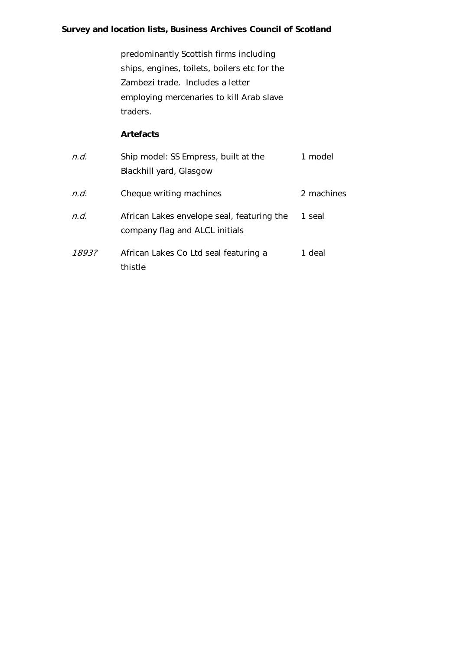predominantly Scottish firms including ships, engines, toilets, boilers etc for the Zambezi trade. Includes a letter employing mercenaries to kill Arab slave traders.

#### **Artefacts**

| n.d.  | Ship model: SS Empress, built at the       | 1 model    |
|-------|--------------------------------------------|------------|
|       | Blackhill yard, Glasgow                    |            |
| n.d.  | Cheque writing machines                    | 2 machines |
| n.d.  | African Lakes envelope seal, featuring the | 1 seal     |
|       | company flag and ALCL initials             |            |
| 18932 | African Lakes Co Ltd seal featuring a      | 1 deal     |
|       | thistle                                    |            |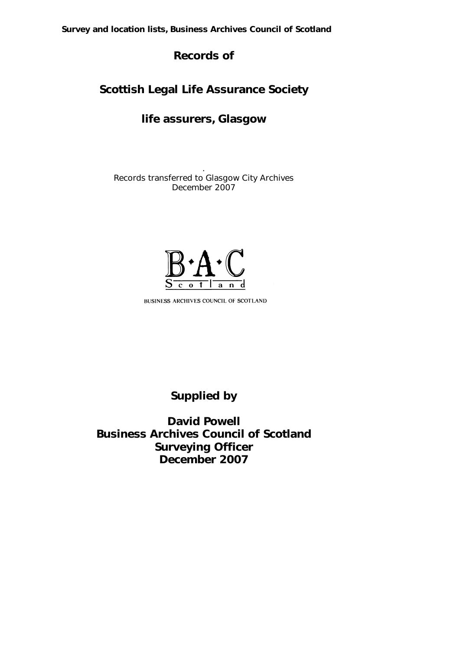**Records of** 

## **Scottish Legal Life Assurance Society**

**life assurers, Glasgow** 

. Records transferred to Glasgow City Archives December 2007



BUSINESS ARCHIVES COUNCIL OF SCOTLAND

**Supplied by** 

**David Powell Business Archives Council of Scotland Surveying Officer December 2007**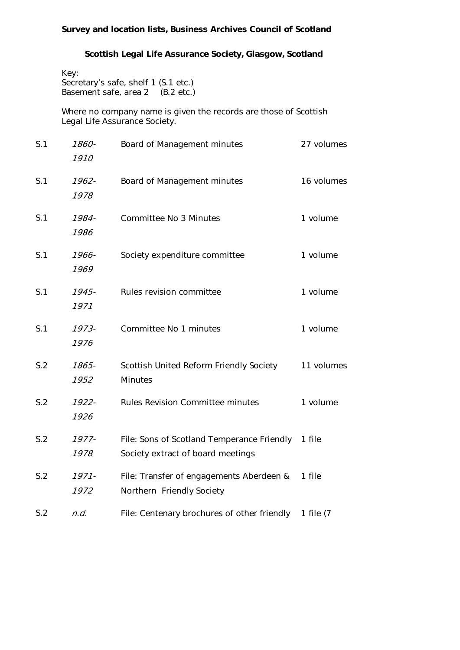#### **Scottish Legal Life Assurance Society, Glasgow, Scotland**

|     | Key:             | Secretary's safe, shelf 1 (S.1 etc.)<br>Basement safe, area 2 (B.2 etc.)                          |            |
|-----|------------------|---------------------------------------------------------------------------------------------------|------------|
|     |                  | Where no company name is given the records are those of Scottish<br>Legal Life Assurance Society. |            |
| S.1 | 1860-<br>1910    | Board of Management minutes                                                                       | 27 volumes |
| S.1 | 1962-<br>1978    | Board of Management minutes                                                                       | 16 volumes |
| S.1 | 1984-<br>1986    | Committee No 3 Minutes                                                                            | 1 volume   |
| S.1 | 1966-<br>1969    | Society expenditure committee                                                                     | 1 volume   |
| S.1 | 1945-<br>1971    | Rules revision committee                                                                          | 1 volume   |
| S.1 | 1973-<br>1976    | Committee No 1 minutes                                                                            | 1 volume   |
| S.2 | 1865-<br>1952    | Scottish United Reform Friendly Society<br><b>Minutes</b>                                         | 11 volumes |
| S.2 | 1922-<br>1926    | <b>Rules Revision Committee minutes</b>                                                           | 1 volume   |
| S.2 | 1977-<br>1978    | File: Sons of Scotland Temperance Friendly<br>Society extract of board meetings                   | 1 file     |
| S.2 | $1971 -$<br>1972 | File: Transfer of engagements Aberdeen &<br>Northern Friendly Society                             | 1 file     |
| S.2 | n.d.             | File: Centenary brochures of other friendly                                                       | 1 file (7  |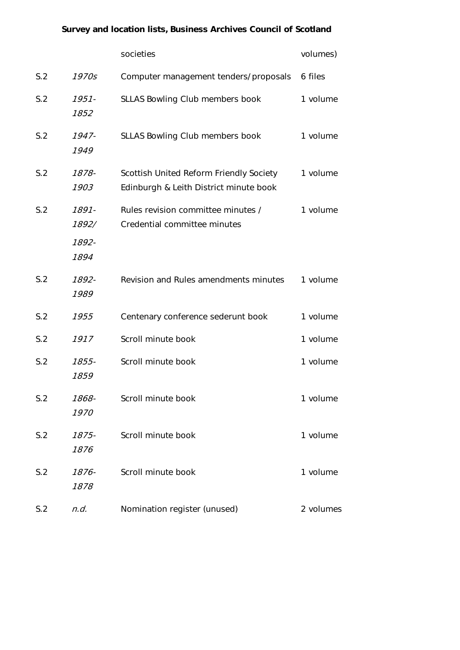|     |                  | societies                                                                         | volumes)  |
|-----|------------------|-----------------------------------------------------------------------------------|-----------|
| S.2 | 1970s            | Computer management tenders/proposals                                             | 6 files   |
| S.2 | $1951 -$<br>1852 | SLLAS Bowling Club members book                                                   | 1 volume  |
| S.2 | $1947 -$<br>1949 | SLLAS Bowling Club members book                                                   | 1 volume  |
| S.2 | 1878-<br>1903    | Scottish United Reform Friendly Society<br>Edinburgh & Leith District minute book | 1 volume  |
| S.2 | 1891-<br>1892/   | Rules revision committee minutes /<br>Credential committee minutes                | 1 volume  |
|     | 1892-<br>1894    |                                                                                   |           |
| S.2 | 1892-<br>1989    | Revision and Rules amendments minutes                                             | 1 volume  |
| S.2 | 1955             | Centenary conference sederunt book                                                | 1 volume  |
| S.2 | 1917             | Scroll minute book                                                                | 1 volume  |
| S.2 | 1855-<br>1859    | Scroll minute book                                                                | 1 volume  |
| S.2 | 1868-<br>1970    | Scroll minute book                                                                | 1 volume  |
| S.2 | 1875-<br>1876    | Scroll minute book                                                                | 1 volume  |
| S.2 | 1876-<br>1878    | Scroll minute book                                                                | 1 volume  |
| S.2 | n.d.             | Nomination register (unused)                                                      | 2 volumes |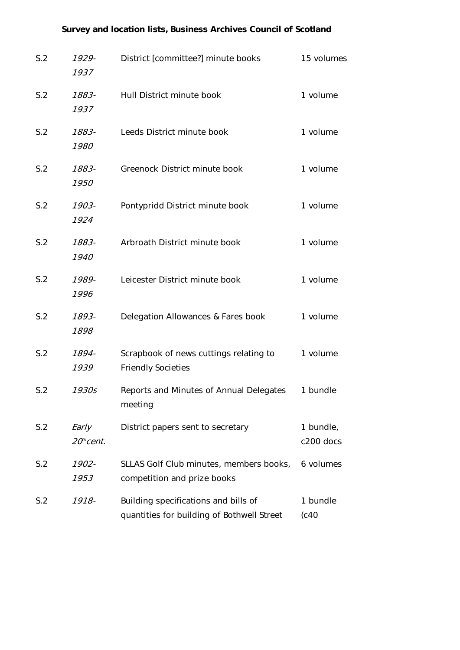| S.2 | 1929-<br>1937                   | District [committee?] minute books                                                 | 15 volumes             |
|-----|---------------------------------|------------------------------------------------------------------------------------|------------------------|
| S.2 | 1883-<br>1937                   | Hull District minute book                                                          | 1 volume               |
| S.2 | 1883-<br>1980                   | Leeds District minute book                                                         | 1 volume               |
| S.2 | 1883-<br>1950                   | Greenock District minute book                                                      | 1 volume               |
| S.2 | 1903-<br>1924                   | Pontypridd District minute book                                                    | 1 volume               |
| S.2 | 1883-<br>1940                   | Arbroath District minute book                                                      | 1 volume               |
| S.2 | 1989-<br>1996                   | Leicester District minute book                                                     | 1 volume               |
| S.2 | 1893-<br>1898                   | Delegation Allowances & Fares book                                                 | 1 volume               |
| S.2 | 1894-<br>1939                   | Scrapbook of news cuttings relating to<br><b>Friendly Societies</b>                | 1 volume               |
| S.2 | 1930s                           | Reports and Minutes of Annual Delegates<br>meeting                                 | 1 bundle               |
| S.2 | Early<br>20 <sup>th</sup> cent. | District papers sent to secretary                                                  | 1 bundle,<br>c200 docs |
| S.2 | 1902-<br>1953                   | SLLAS Golf Club minutes, members books,<br>competition and prize books             | 6 volumes              |
| S.2 | 1918-                           | Building specifications and bills of<br>quantities for building of Bothwell Street | 1 bundle<br>(c40)      |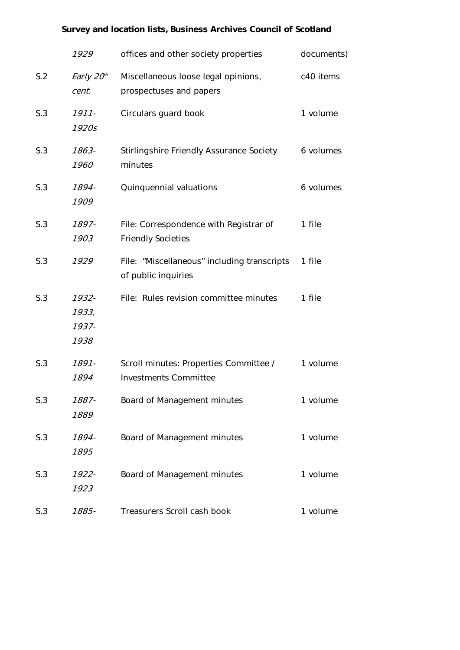|     | 1929                            | offices and other society properties                                   | documents) |
|-----|---------------------------------|------------------------------------------------------------------------|------------|
| S.2 | Early 20th<br>cent.             | Miscellaneous loose legal opinions,<br>prospectuses and papers         | c40 items  |
| S.3 | $1911 -$<br>1920s               | Circulars guard book                                                   | 1 volume   |
| S.3 | 1863-<br>1960                   | <b>Stirlingshire Friendly Assurance Society</b><br>minutes             | 6 volumes  |
| S.3 | 1894-<br>1909                   | Quinquennial valuations                                                | 6 volumes  |
| S.3 | 1897-<br>1903                   | File: Correspondence with Registrar of<br><b>Friendly Societies</b>    | 1 file     |
| S.3 | 1929                            | File: "Miscellaneous" including transcripts<br>of public inquiries     | 1 file     |
| S.3 | 1932-<br>1933,<br>1937-<br>1938 | File: Rules revision committee minutes                                 | 1 file     |
| S.3 | 1891-<br>1894                   | Scroll minutes: Properties Committee /<br><b>Investments Committee</b> | 1 volume   |
| S.3 | 1887-<br>1889                   | Board of Management minutes                                            | 1 volume   |
| S.3 | 1894-<br>1895                   | Board of Management minutes                                            | 1 volume   |
| S.3 | 1922-<br>1923                   | Board of Management minutes                                            | 1 volume   |
| S.3 | 1885-                           | Treasurers Scroll cash book                                            | 1 volume   |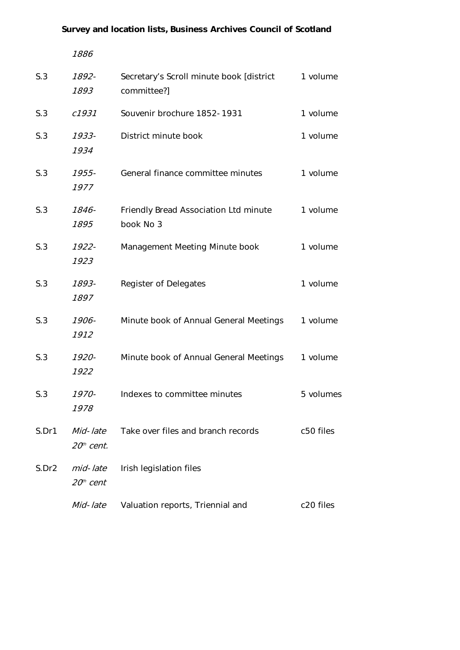|       | 1886                     |                                                         |           |
|-------|--------------------------|---------------------------------------------------------|-----------|
| S.3   | 1892-<br>1893            | Secretary's Scroll minute book [district<br>committee?] | 1 volume  |
| S.3   | c1931                    | Souvenir brochure 1852-1931                             | 1 volume  |
| S.3   | 1933-<br>1934            | District minute book                                    | 1 volume  |
| S.3   | 1955-<br>1977            | General finance committee minutes                       | 1 volume  |
| S.3   | 1846-<br>1895            | Friendly Bread Association Ltd minute<br>book No 3      | 1 volume  |
| S.3   | 1922-<br>1923            | Management Meeting Minute book                          | 1 volume  |
| S.3   | 1893-<br>1897            | <b>Register of Delegates</b>                            | 1 volume  |
| S.3   | 1906-<br>1912            | Minute book of Annual General Meetings                  | 1 volume  |
| S.3   | 1920-<br>1922            | Minute book of Annual General Meetings                  | 1 volume  |
| S.3   | 1970-<br>1978            | Indexes to committee minutes                            | 5 volumes |
| S.Dr1 | Mid-late<br>$20th$ cent. | Take over files and branch records                      | c50 files |
| S.Dr2 | mid-late<br>$20th$ cent  | Irish legislation files                                 |           |
|       | Mid-late                 | Valuation reports, Triennial and                        | c20 files |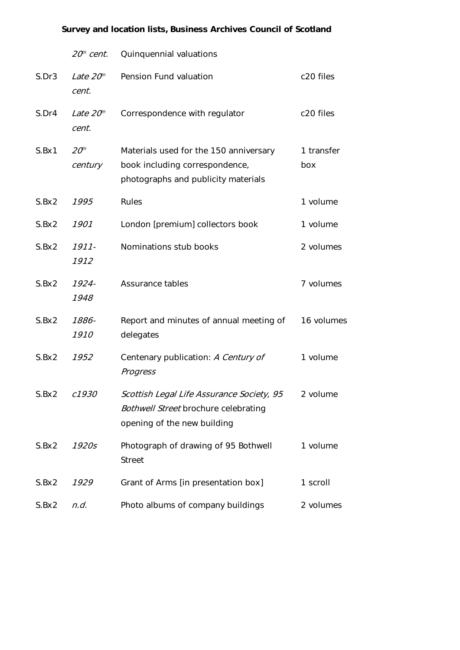|       | $20th$ cent.                | Quinquennial valuations                                                                                                 |                   |
|-------|-----------------------------|-------------------------------------------------------------------------------------------------------------------------|-------------------|
| S.Dr3 | Late $20th$<br>cent.        | Pension Fund valuation                                                                                                  | c20 files         |
| S.Dr4 | Late $20th$<br>cent.        | Correspondence with regulator                                                                                           | c20 files         |
| S.Bx1 | 20 <sup>th</sup><br>century | Materials used for the 150 anniversary<br>book including correspondence,<br>photographs and publicity materials         | 1 transfer<br>box |
| S.Bx2 | 1995                        | Rules                                                                                                                   | 1 volume          |
| S.Bx2 | 1901                        | London [premium] collectors book                                                                                        | 1 volume          |
| S.Bx2 | $1911 -$<br>1912            | Nominations stub books                                                                                                  | 2 volumes         |
| S.Bx2 | $1924 -$<br>1948            | Assurance tables                                                                                                        | 7 volumes         |
| S.Bx2 | 1886-<br>1910               | Report and minutes of annual meeting of<br>delegates                                                                    | 16 volumes        |
| S.Bx2 | 1952                        | Centenary publication: A Century of<br>Progress                                                                         | 1 volume          |
| S.Bx2 | c1930                       | Scottish Legal Life Assurance Society, 95<br><b>Bothwell Street brochure celebrating</b><br>opening of the new building | 2 volume          |
| S.Bx2 | 1920s                       | Photograph of drawing of 95 Bothwell<br><b>Street</b>                                                                   | 1 volume          |
| S.Bx2 | 1929                        | Grant of Arms [in presentation box]                                                                                     | 1 scroll          |
| S.Bx2 | n.d.                        | Photo albums of company buildings                                                                                       | 2 volumes         |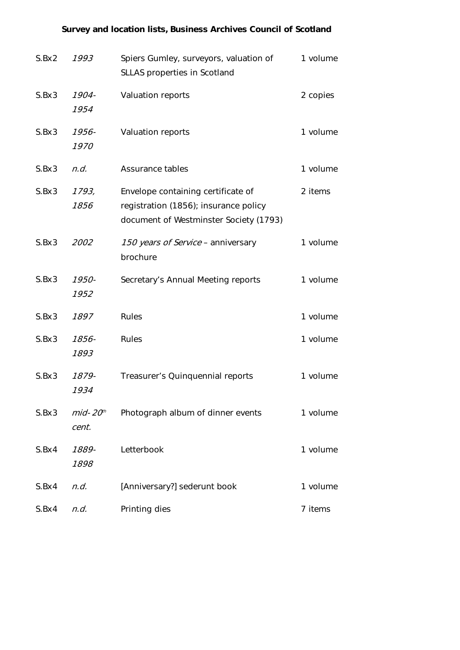| S.Bx2 | 1993                              | Spiers Gumley, surveyors, valuation of<br>SLLAS properties in Scotland                                                | 1 volume |
|-------|-----------------------------------|-----------------------------------------------------------------------------------------------------------------------|----------|
| S.Bx3 | 1904-<br>1954                     | Valuation reports                                                                                                     | 2 copies |
| S.Bx3 | 1956-<br>1970                     | Valuation reports                                                                                                     | 1 volume |
| S.Bx3 | n.d.                              | Assurance tables                                                                                                      | 1 volume |
| S.Bx3 | 1793,<br>1856                     | Envelope containing certificate of<br>registration (1856); insurance policy<br>document of Westminster Society (1793) | 2 items  |
| S.Bx3 | 2002                              | 150 years of Service - anniversary<br>brochure                                                                        | 1 volume |
| S.Bx3 | 1950-<br>1952                     | Secretary's Annual Meeting reports                                                                                    | 1 volume |
| S.Bx3 | 1897                              | <b>Rules</b>                                                                                                          | 1 volume |
| S.Bx3 | 1856-<br>1893                     | Rules                                                                                                                 | 1 volume |
| S.Bx3 | 1879-<br>1934                     | Treasurer's Quinquennial reports                                                                                      | 1 volume |
| S.Bx3 | mid-20 $^{\prime\prime}$<br>cent. | Photograph album of dinner events                                                                                     | 1 volume |
| S.Bx4 | 1889-<br>1898                     | Letterbook                                                                                                            | 1 volume |
| S.Bx4 | n.d.                              | [Anniversary?] sederunt book                                                                                          | 1 volume |
| S.Bx4 | n.d.                              | Printing dies                                                                                                         | 7 items  |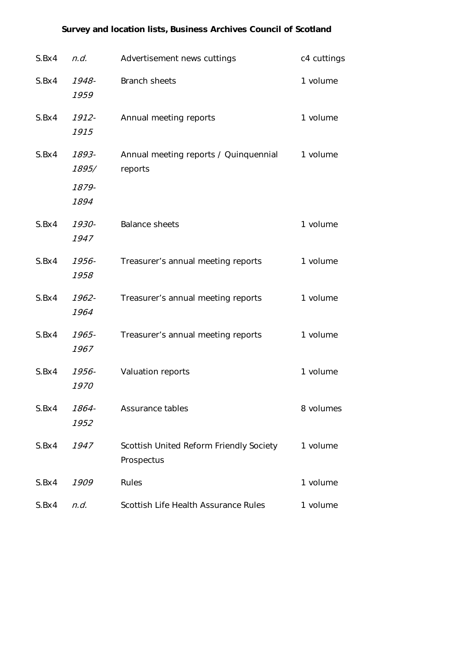| S.Bx4 | n.d.                            | Advertisement news cuttings                           | c4 cuttings |
|-------|---------------------------------|-------------------------------------------------------|-------------|
| S.Bx4 | 1948-<br>1959                   | <b>Branch sheets</b>                                  | 1 volume    |
| S.Bx4 | 1912-<br>1915                   | Annual meeting reports                                | 1 volume    |
| S.Bx4 | 1893-<br>1895/<br>1879-<br>1894 | Annual meeting reports / Quinquennial<br>reports      | 1 volume    |
| S.Bx4 | 1930-<br>1947                   | <b>Balance sheets</b>                                 | 1 volume    |
| S.Bx4 | 1956-<br>1958                   | Treasurer's annual meeting reports                    | 1 volume    |
| S.Bx4 | 1962-<br>1964                   | Treasurer's annual meeting reports                    | 1 volume    |
| S.Bx4 | 1965-<br>1967                   | Treasurer's annual meeting reports                    | 1 volume    |
| S.Bx4 | 1956-<br>1970                   | Valuation reports                                     | 1 volume    |
| S.Bx4 | 1864-<br>1952                   | Assurance tables                                      | 8 volumes   |
| S.Bx4 | 1947                            | Scottish United Reform Friendly Society<br>Prospectus | 1 volume    |
| S.Bx4 | 1909                            | Rules                                                 | 1 volume    |
| S.Bx4 | n.d.                            | Scottish Life Health Assurance Rules                  | 1 volume    |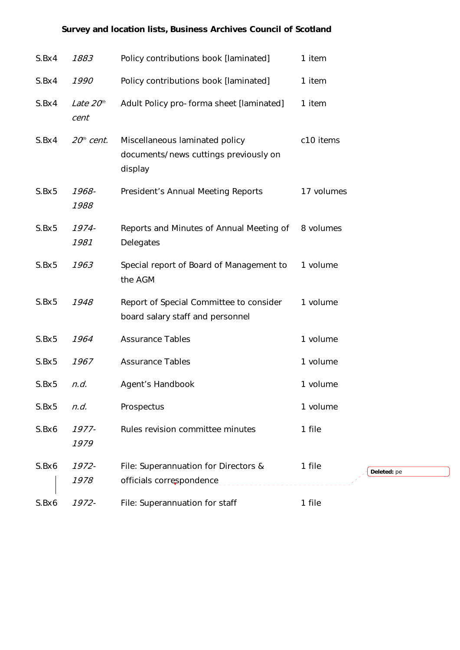| S.Bx4 | 1883                | Policy contributions book [laminated]                                              | 1 item                |
|-------|---------------------|------------------------------------------------------------------------------------|-----------------------|
| S.Bx4 | 1990                | Policy contributions book [laminated]                                              | 1 item                |
| S.Bx4 | Late $20th$<br>cent | Adult Policy pro-forma sheet [laminated]                                           | 1 item                |
| S.Bx4 | $20th$ cent.        | Miscellaneous laminated policy<br>documents/news cuttings previously on<br>display | c10 items             |
| S.Bx5 | 1968-<br>1988       | President's Annual Meeting Reports                                                 | 17 volumes            |
| S.Bx5 | 1974-<br>1981       | Reports and Minutes of Annual Meeting of<br>Delegates                              | 8 volumes             |
| S.Bx5 | 1963                | Special report of Board of Management to<br>the AGM                                | 1 volume              |
| S.Bx5 | 1948                | Report of Special Committee to consider<br>board salary staff and personnel        | 1 volume              |
| S.Bx5 | 1964                | <b>Assurance Tables</b>                                                            | 1 volume              |
| S.Bx5 | 1967                | <b>Assurance Tables</b>                                                            | 1 volume              |
| S.Bx5 | n.d.                | Agent's Handbook                                                                   | 1 volume              |
| S.Bx5 | n.d.                | Prospectus                                                                         | 1 volume              |
| S.Bx6 | 1977-<br>1979       | Rules revision committee minutes                                                   | 1 file                |
| S.Bx6 | 1972-<br>1978       | File: Superannuation for Directors &<br>officials correspondence                   | 1 file<br>Deleted: pe |
| S.Bx6 | 1972-               | File: Superannuation for staff                                                     | 1 file                |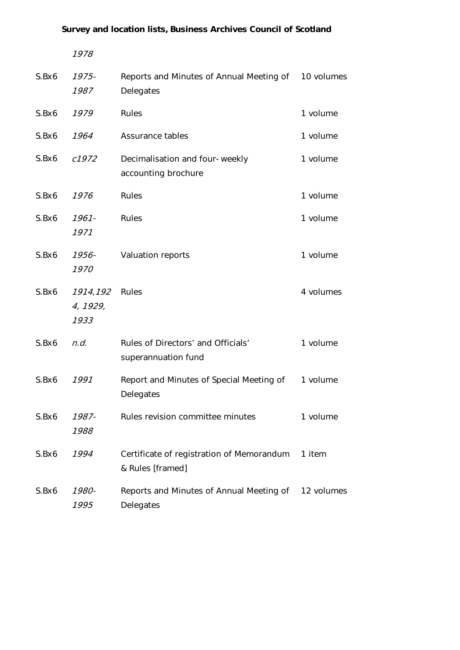|       | 1978                         |                                                               |            |
|-------|------------------------------|---------------------------------------------------------------|------------|
| S.Bx6 | 1975-<br>1987                | Reports and Minutes of Annual Meeting of<br>Delegates         | 10 volumes |
| S.Bx6 | 1979                         | <b>Rules</b>                                                  | 1 volume   |
| S.Bx6 | 1964                         | Assurance tables                                              | 1 volume   |
| S.Bx6 | c1972                        | Decimalisation and four-weekly<br>accounting brochure         | 1 volume   |
| S.Bx6 | 1976                         | Rules                                                         | 1 volume   |
| S.Bx6 | $1961 -$<br>1971             | <b>Rules</b>                                                  | 1 volume   |
| S.Bx6 | 1956-<br>1970                | Valuation reports                                             | 1 volume   |
| S.Bx6 | 1914,192<br>4, 1929,<br>1933 | Rules                                                         | 4 volumes  |
| S.Bx6 | n.d.                         | Rules of Directors' and Officials'<br>superannuation fund     | 1 volume   |
| S.Bx6 | 1991                         | Report and Minutes of Special Meeting of<br>Delegates         | 1 volume   |
| S.Bx6 | 1987-<br>1988                | Rules revision committee minutes                              | 1 volume   |
| S.Bx6 | 1994                         | Certificate of registration of Memorandum<br>& Rules [framed] | 1 item     |
| S.Bx6 | 1980-<br>1995                | Reports and Minutes of Annual Meeting of<br>Delegates         | 12 volumes |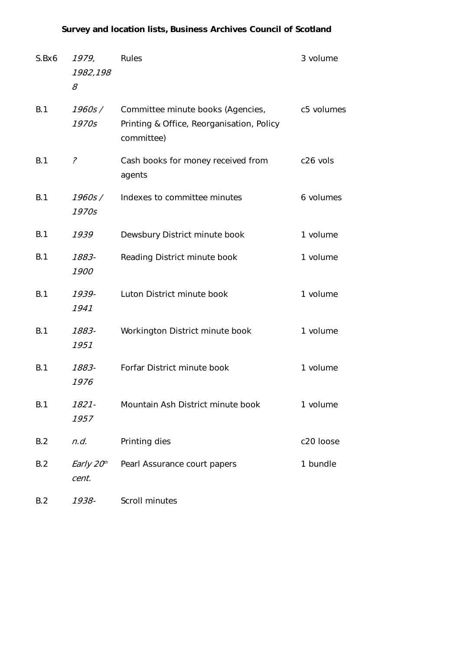| S.Bx6 | 1979,<br>1982,198<br>8          | Rules                                                                                        | 3 volume   |
|-------|---------------------------------|----------------------------------------------------------------------------------------------|------------|
| B.1   | 1960s /<br>1970s                | Committee minute books (Agencies,<br>Printing & Office, Reorganisation, Policy<br>committee) | c5 volumes |
| B.1   | $\tilde{c}$                     | Cash books for money received from<br>agents                                                 | c26 vols   |
| B.1   | 1960s /<br>1970s                | Indexes to committee minutes                                                                 | 6 volumes  |
| B.1   | 1939                            | Dewsbury District minute book                                                                | 1 volume   |
| B.1   | 1883-<br>1900                   | Reading District minute book                                                                 | 1 volume   |
| B.1   | 1939-<br>1941                   | Luton District minute book                                                                   | 1 volume   |
| B.1   | 1883-<br>1951                   | Workington District minute book                                                              | 1 volume   |
| B.1   | 1883-<br>1976                   | Forfar District minute book                                                                  | 1 volume   |
| B.1   | $1821 -$<br>1957                | Mountain Ash District minute book                                                            | 1 volume   |
| B.2   | n.d.                            | Printing dies                                                                                | c20 loose  |
| B.2   | Early 20 <sup>th</sup><br>cent. | Pearl Assurance court papers                                                                 | 1 bundle   |
| B.2   | 1938-                           | Scroll minutes                                                                               |            |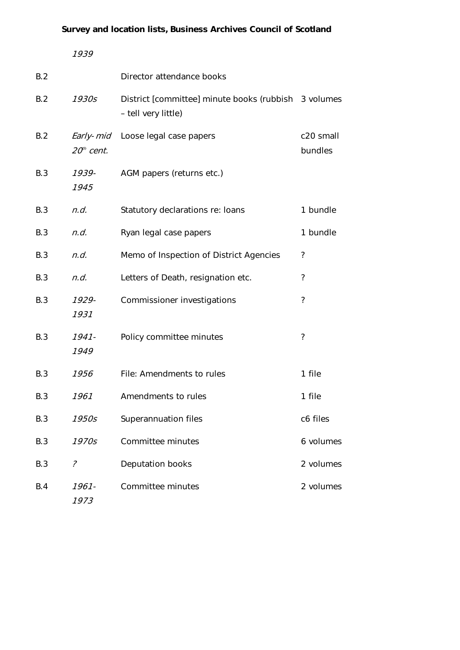|            | 1939             |                                                                             |                      |
|------------|------------------|-----------------------------------------------------------------------------|----------------------|
| B.2        |                  | Director attendance books                                                   |                      |
| B.2        | 1930s            | District [committee] minute books (rubbish 3 volumes<br>- tell very little) |                      |
| B.2        | $20th$ cent.     | Early-mid Loose legal case papers                                           | c20 small<br>bundles |
| B.3        | 1939-<br>1945    | AGM papers (returns etc.)                                                   |                      |
| B.3        | n.d.             | Statutory declarations re: loans                                            | 1 bundle             |
| B.3        | n.d.             | Ryan legal case papers                                                      | 1 bundle             |
| B.3        | n.d.             | Memo of Inspection of District Agencies                                     | ?                    |
| B.3        | n.d.             | Letters of Death, resignation etc.                                          | $\overline{\cdot}$   |
| B.3        | 1929-<br>1931    | Commissioner investigations                                                 | ?                    |
| B.3        | $1941 -$<br>1949 | Policy committee minutes                                                    | ?                    |
| B.3        | 1956             | File: Amendments to rules                                                   | 1 file               |
| B.3        | 1961             | Amendments to rules                                                         | 1 file               |
| <b>B.3</b> | 1950s            | Superannuation files                                                        | c6 files             |
| B.3        | 1970s            | Committee minutes                                                           | 6 volumes            |
| B.3        | ?                | Deputation books                                                            | 2 volumes            |
| B.4        | $1961 -$<br>1973 | Committee minutes                                                           | 2 volumes            |